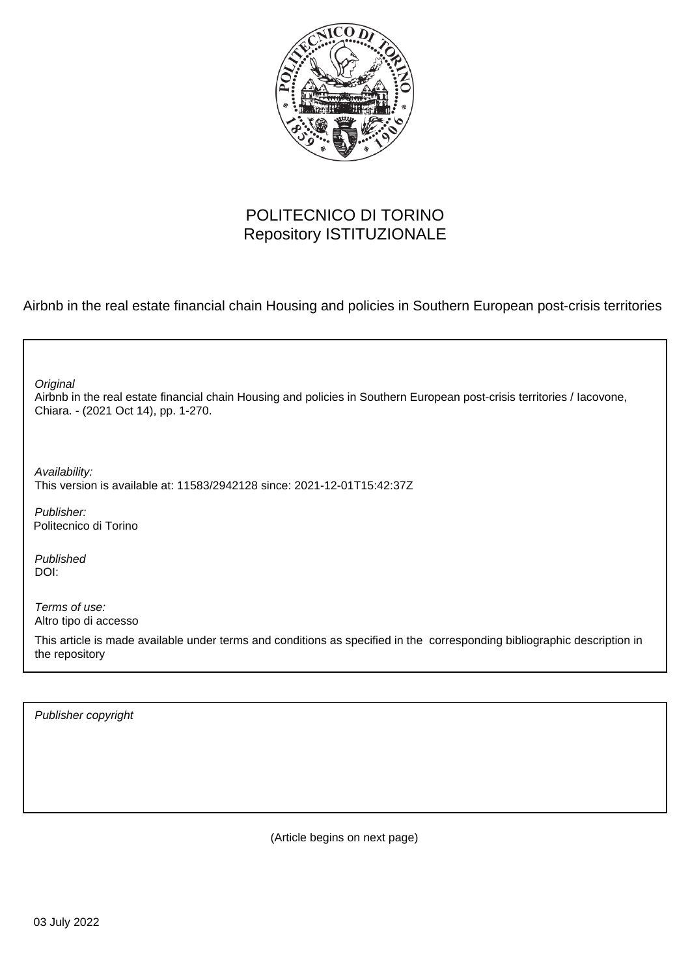

## POLITECNICO DI TORINO Repository ISTITUZIONALE

Airbnb in the real estate financial chain Housing and policies in Southern European post-crisis territories

| Original<br>Airbnb in the real estate financial chain Housing and policies in Southern European post-crisis territories / lacovone,<br>Chiara. - (2021 Oct 14), pp. 1-270. |
|----------------------------------------------------------------------------------------------------------------------------------------------------------------------------|
| Availability:<br>This version is available at: 11583/2942128 since: 2021-12-01T15:42:37Z                                                                                   |
| Publisher:<br>Politecnico di Torino                                                                                                                                        |
| Published<br>DOI:                                                                                                                                                          |
| Terms of use:<br>Altro tipo di accesso                                                                                                                                     |
| This article is made available under terms and conditions as specified in the corresponding bibliographic description in<br>the repository                                 |
|                                                                                                                                                                            |

Publisher copyright

(Article begins on next page)